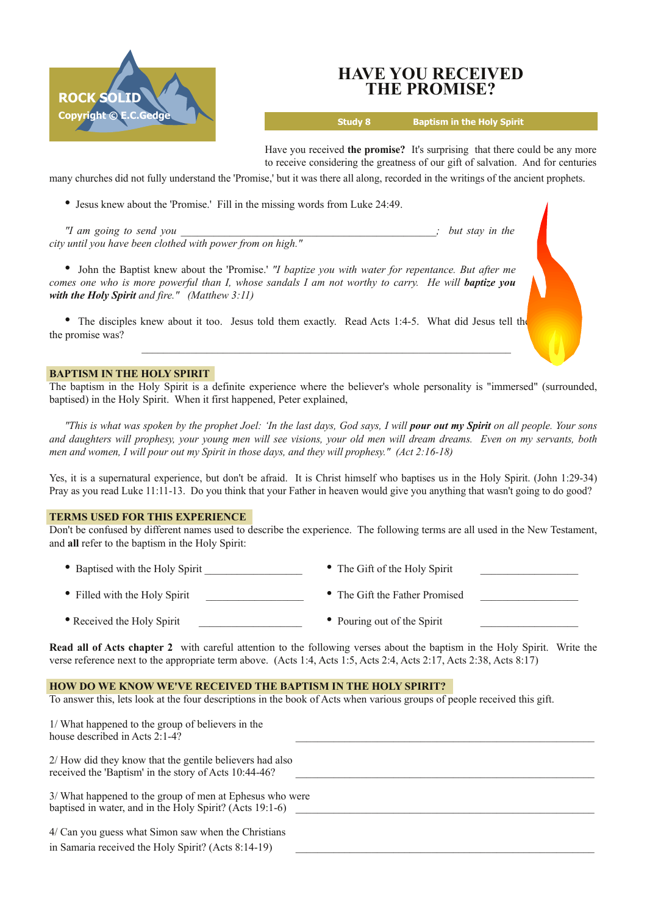

# **HAVE YOU RECEIVED THE PROMISE?**

**Study 8 Baptism in the Holy Spirit**

Have you received **the promise?** It's surprising that there could be any more to receive considering the greatness of our gift of salvation. And for centuries

many churches did not fully understand the 'Promise,' but it was there all along, recorded in the writings of the ancient prophets.

• Jesus knew about the 'Promise.' Fill in the missing words from Luke 24:49.

*"I am going to send you \_\_\_\_\_\_\_\_\_\_\_\_\_\_\_\_\_\_\_\_\_\_\_\_\_\_\_\_\_\_\_\_\_\_\_\_\_\_\_\_\_\_\_\_\_\_\_; but stay in the city until you have been clothed with power from on high."*

• John the Baptist knew about the 'Promise.' *"I baptize you with water for repentance. But after me* comes one who is more powerful than I, whose sandals I am not worthy to carry. He will **baptize you** *with the Holy Spirit and fire." (Matthew 3:11)*

• The disciples knew about it too. Jesus told them exactly. Read Acts 1:4-5. What did Jesus tell the the promise was?

## **BAPTISM IN THE HOLY SPIRIT**

The baptism in the Holy Spirit is a definite experience where the believer's whole personality is "immersed" (surrounded, baptised) in the Holy Spirit. When it first happened, Peter explained,

"This is what was spoken by the prophet Joel: 'In the last days, God says, I will **pour out my Spirit** on all people. Your sons and daughters will prophesy, your young men will see visions, your old men will dream dreams. Even on my servants, both *men and women, I will pour out my Spirit in those days, and they will prophesy." (Act 2:1618)*

Yes, it is a supernatural experience, but don't be afraid. It is Christ himself who baptises us in the Holy Spirit. (John 1:2934) Pray as you read Luke 11:11-13. Do you think that your Father in heaven would give you anything that wasn't going to do good?

## **TERMS USED FOR THIS EXPERIENCE**

Don't be confused by different names used to describe the experience. The following terms are all used in the New Testament, and **all** refer to the baptism in the Holy Spirit:

- Baptised with the Holy Spirit  $\bullet$  The Gift of the Holy Spirit
- Filled with the Holy Spirit  **The Gift the Father Promised** The Gift the Father Promised
- 
- 
- 
- 
- Received the Holy Spirit Pouring out of the Spirit

**Read all of Acts chapter 2** with careful attention to the following verses about the baptism in the Holy Spirit. Write the verse reference next to the appropriate term above. (Acts 1:4, Acts 1:5, Acts 2:4, Acts 2:17, Acts 2:38, Acts 8:17)

# **HOW DO WE KNOW WE'VE RECEIVED THE BAPTISM IN THE HOLY SPIRIT?**

To answer this, lets look at the four descriptions in the book of Acts when various groups of people received this gift.

| 1/ What happened to the group of believers in the<br>house described in Acts 2:1-4?                                  |  |
|----------------------------------------------------------------------------------------------------------------------|--|
| 2/ How did they know that the gentile believers had also<br>received the 'Baptism' in the story of Acts 10:44-46?    |  |
| 3/ What happened to the group of men at Ephesus who were<br>baptised in water, and in the Holy Spirit? (Acts 19:1-6) |  |
| 4/ Can you guess what Simon saw when the Christians                                                                  |  |
| in Samaria received the Holy Spirit? (Acts 8:14-19)                                                                  |  |